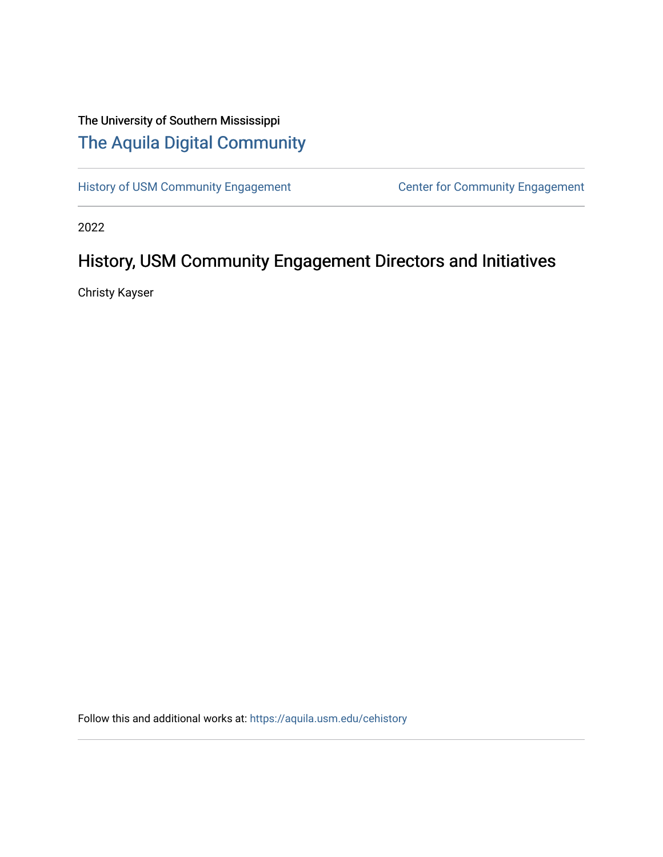## The University of Southern Mississippi [The Aquila Digital Community](https://aquila.usm.edu/)

[History of USM Community Engagement](https://aquila.usm.edu/cehistory) Center for Community Engagement

2022

## History, USM Community Engagement Directors and Initiatives

Christy Kayser

Follow this and additional works at: [https://aquila.usm.edu/cehistory](https://aquila.usm.edu/cehistory?utm_source=aquila.usm.edu%2Fcehistory%2F3&utm_medium=PDF&utm_campaign=PDFCoverPages)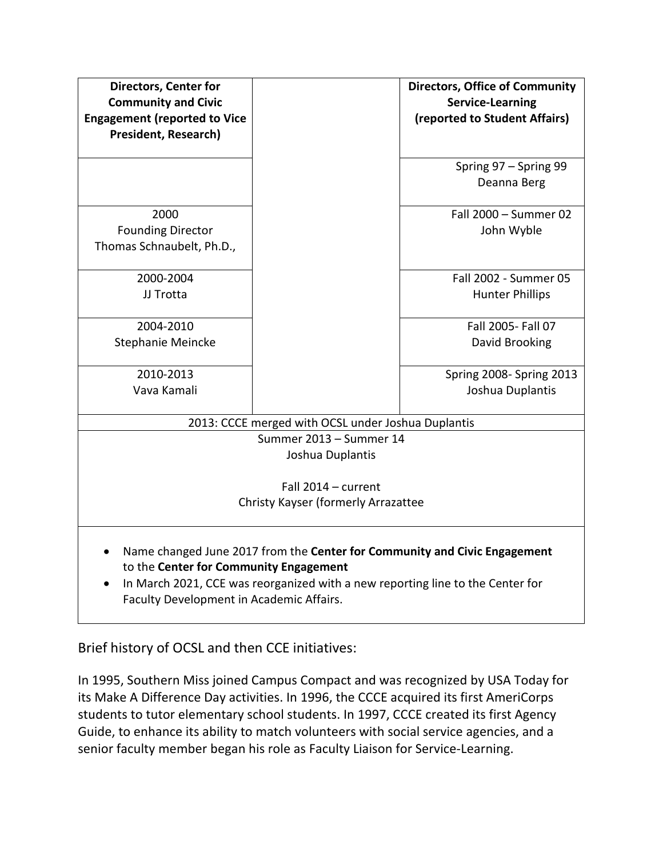| <b>Directors, Center for</b><br><b>Community and Civic</b><br><b>Engagement (reported to Vice</b><br><b>President, Research)</b>                                                                                                                  |  | <b>Directors, Office of Community</b><br><b>Service-Learning</b><br>(reported to Student Affairs) |
|---------------------------------------------------------------------------------------------------------------------------------------------------------------------------------------------------------------------------------------------------|--|---------------------------------------------------------------------------------------------------|
|                                                                                                                                                                                                                                                   |  | Spring 97 - Spring 99<br>Deanna Berg                                                              |
| 2000<br><b>Founding Director</b><br>Thomas Schnaubelt, Ph.D.,                                                                                                                                                                                     |  | Fall 2000 - Summer 02<br>John Wyble                                                               |
| 2000-2004<br>JJ Trotta                                                                                                                                                                                                                            |  | Fall 2002 - Summer 05<br><b>Hunter Phillips</b>                                                   |
| 2004-2010<br>Stephanie Meincke                                                                                                                                                                                                                    |  | Fall 2005- Fall 07<br>David Brooking                                                              |
| 2010-2013<br>Vava Kamali                                                                                                                                                                                                                          |  | Spring 2008-Spring 2013<br>Joshua Duplantis                                                       |
| 2013: CCCE merged with OCSL under Joshua Duplantis                                                                                                                                                                                                |  |                                                                                                   |
| Summer 2013 - Summer 14<br>Joshua Duplantis                                                                                                                                                                                                       |  |                                                                                                   |
| Fall 2014 - current<br>Christy Kayser (formerly Arrazattee                                                                                                                                                                                        |  |                                                                                                   |
| Name changed June 2017 from the Center for Community and Civic Engagement<br>to the Center for Community Engagement<br>In March 2021, CCE was reorganized with a new reporting line to the Center for<br>Faculty Development in Academic Affairs. |  |                                                                                                   |

Brief history of OCSL and then CCE initiatives:

In 1995, Southern Miss joined Campus Compact and was recognized by USA Today for its Make A Difference Day activities. In 1996, the CCCE acquired its first AmeriCorps students to tutor elementary school students. In 1997, CCCE created its first Agency Guide, to enhance its ability to match volunteers with social service agencies, and a senior faculty member began his role as Faculty Liaison for Service-Learning.